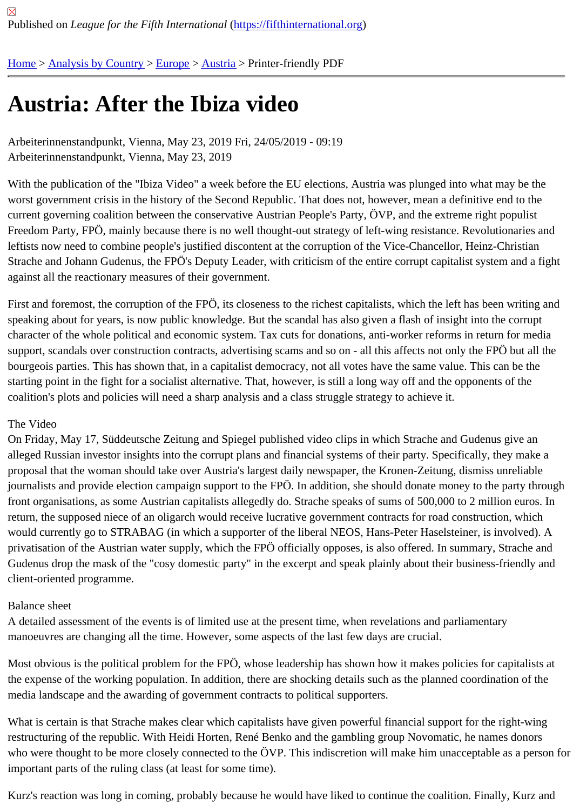# [Au](https://fifthinternational.org/)s[tria: After](https://fifthinternational.org/category/1) t[he I](https://fifthinternational.org/category/1/128)[biza](https://fifthinternational.org/category/1/128/132) video

Arbeiterinnenstandpunkt, Vienna, May 23, 2019 Fri, 24/05/2019 - 09:19 Arbeiterinnenstandpunkt, Vienna, May 23, 2019

With the publication of the "Ibiza Video" a week before the EU elections, Austria was plunged into what may be the worst government crisis in the history of the Second Republic. That does not, however, mean a definitive end to th current governing coalition between the conservative Austrian People's Party, ÖVP, and the extreme right populist Freedom Party, FPÖ, mainly because there is no well thought-out strategy of left-wing resistance. Revolutionaries leftists now need to combine people's justified discontent at the corruption of the Vice-Chancellor, Heinz-Christian Strache and Johann Gudenus, the FPÖ's Deputy Leader, with criticism of the entire corrupt capitalist system and a against all the reactionary measures of their government.

First and foremost, the corruption of the FPÖ, its closeness to the richest capitalists, which the left has been writing speaking about for years, is now public knowledge. But the scandal has also given a flash of insight into the corrup character of the whole political and economic system. Tax cuts for donations, anti-worker reforms in return for med support, scandals over construction contracts, advertising scams and so on - all this affects not only the FPÖ but a bourgeois parties. This has shown that, in a capitalist democracy, not all votes have the same value. This can be t starting point in the fight for a socialist alternative. That, however, is still a long way off and the opponents of the coalition's plots and policies will need a sharp analysis and a class struggle strategy to achieve it.

### The Video

On Friday, May 17, Süddeutsche Zeitung and Spiegel published video clips in which Strache and Gudenus give an alleged Russian investor insights into the corrupt plans and financial systems of their party. Specifically, they make proposal that the woman should take over Austria's largest daily newspaper, the Kronen-Zeitung, dismiss unreliab journalists and provide election campaign support to the FPÖ. In addition, she should donate money to the party th front organisations, as some Austrian capitalists allegedly do. Strache speaks of sums of 500,000 to 2 million euro return, the supposed niece of an oligarch would receive lucrative government contracts for road construction, whic would currently go to STRABAG (in which a supporter of the liberal NEOS, Hans-Peter Haselsteiner, is involved). privatisation of the Austrian water supply, which the FPÖ officially opposes, is also offered. In summary, Strache a Gudenus drop the mask of the "cosy domestic party" in the excerpt and speak plainly about their business-friendly client-oriented programme.

#### Balance sheet

A detailed assessment of the events is of limited use at the present time, when revelations and parliamentary manoeuvres are changing all the time. However, some aspects of the last few days are crucial.

Most obvious is the political problem for the FPÖ, whose leadership has shown how it makes policies for capitalist the expense of the working population. In addition, there are shocking details such as the planned coordination of media landscape and the awarding of government contracts to political supporters.

What is certain is that Strache makes clear which capitalists have given powerful financial support for the right-wing restructuring of the republic. With Heidi Horten, René Benko and the gambling group Novomatic, he names donors who were thought to be more closely connected to the ÖVP. This indiscretion will make him unacceptable as a per important parts of the ruling class (at least for some time).

Kurz's reaction was long in coming, probably because he would have liked to continue the coalition. Finally, Kurz a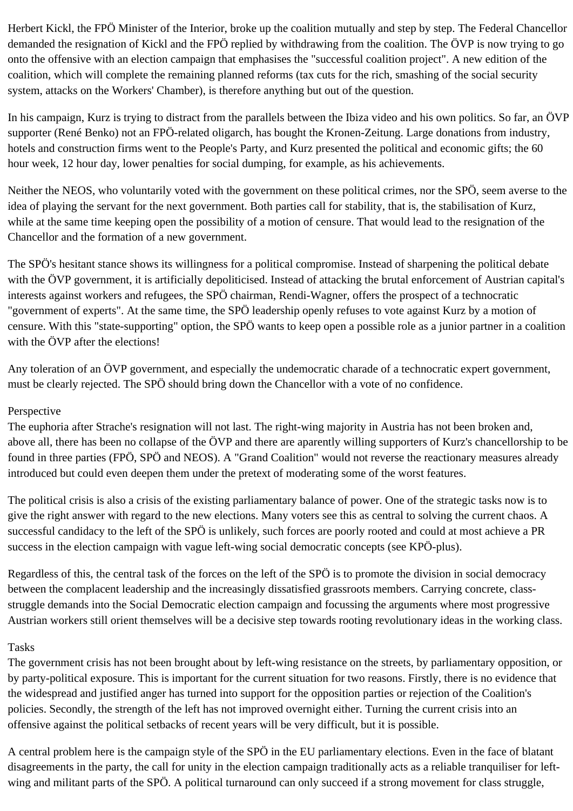Herbert Kickl, the FPÖ Minister of the Interior, broke up the coalition mutually and step by step. The Federal Chancellor demanded the resignation of Kickl and the FPÖ replied by withdrawing from the coalition. The ÖVP is now trying to go onto the offensive with an election campaign that emphasises the "successful coalition project". A new edition of the coalition, which will complete the remaining planned reforms (tax cuts for the rich, smashing of the social security system, attacks on the Workers' Chamber), is therefore anything but out of the question.

In his campaign, Kurz is trying to distract from the parallels between the Ibiza video and his own politics. So far, an ÖVP supporter (René Benko) not an FPÖ-related oligarch, has bought the Kronen-Zeitung. Large donations from industry, hotels and construction firms went to the People's Party, and Kurz presented the political and economic gifts; the 60 hour week, 12 hour day, lower penalties for social dumping, for example, as his achievements.

Neither the NEOS, who voluntarily voted with the government on these political crimes, nor the SPÖ, seem averse to the idea of playing the servant for the next government. Both parties call for stability, that is, the stabilisation of Kurz, while at the same time keeping open the possibility of a motion of censure. That would lead to the resignation of the Chancellor and the formation of a new government.

The SPÖ's hesitant stance shows its willingness for a political compromise. Instead of sharpening the political debate with the ÖVP government, it is artificially depoliticised. Instead of attacking the brutal enforcement of Austrian capital's interests against workers and refugees, the SPÖ chairman, Rendi-Wagner, offers the prospect of a technocratic "government of experts". At the same time, the SPÖ leadership openly refuses to vote against Kurz by a motion of censure. With this "state-supporting" option, the SPÖ wants to keep open a possible role as a junior partner in a coalition with the ÖVP after the elections!

Any toleration of an ÖVP government, and especially the undemocratic charade of a technocratic expert government, must be clearly rejected. The SPÖ should bring down the Chancellor with a vote of no confidence.

#### Perspective

The euphoria after Strache's resignation will not last. The right-wing majority in Austria has not been broken and, above all, there has been no collapse of the ÖVP and there are aparently willing supporters of Kurz's chancellorship to be found in three parties (FPÖ, SPÖ and NEOS). A "Grand Coalition" would not reverse the reactionary measures already introduced but could even deepen them under the pretext of moderating some of the worst features.

The political crisis is also a crisis of the existing parliamentary balance of power. One of the strategic tasks now is to give the right answer with regard to the new elections. Many voters see this as central to solving the current chaos. A successful candidacy to the left of the SPÖ is unlikely, such forces are poorly rooted and could at most achieve a PR success in the election campaign with vague left-wing social democratic concepts (see KPÖ-plus).

Regardless of this, the central task of the forces on the left of the SPÖ is to promote the division in social democracy between the complacent leadership and the increasingly dissatisfied grassroots members. Carrying concrete, classstruggle demands into the Social Democratic election campaign and focussing the arguments where most progressive Austrian workers still orient themselves will be a decisive step towards rooting revolutionary ideas in the working class.

#### Tasks

The government crisis has not been brought about by left-wing resistance on the streets, by parliamentary opposition, or by party-political exposure. This is important for the current situation for two reasons. Firstly, there is no evidence that the widespread and justified anger has turned into support for the opposition parties or rejection of the Coalition's policies. Secondly, the strength of the left has not improved overnight either. Turning the current crisis into an offensive against the political setbacks of recent years will be very difficult, but it is possible.

A central problem here is the campaign style of the SPÖ in the EU parliamentary elections. Even in the face of blatant disagreements in the party, the call for unity in the election campaign traditionally acts as a reliable tranquiliser for leftwing and militant parts of the SPÖ. A political turnaround can only succeed if a strong movement for class struggle,